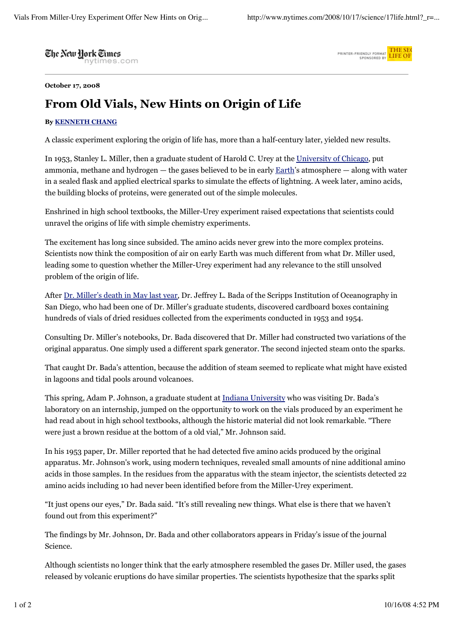Ehe New Hork Times



**October 17, 2008**

## **From Old Vials, New Hints on Origin of Life**

## **By KENNETH CHANG**

A classic experiment exploring the origin of life has, more than a half-century later, yielded new results.

In 1953, Stanley L. Miller, then a graduate student of Harold C. Urey at the University of Chicago, put ammonia, methane and hydrogen — the gases believed to be in early Earth's atmosphere — along with water in a sealed flask and applied electrical sparks to simulate the effects of lightning. A week later, amino acids, the building blocks of proteins, were generated out of the simple molecules.

Enshrined in high school textbooks, the Miller-Urey experiment raised expectations that scientists could unravel the origins of life with simple chemistry experiments.

The excitement has long since subsided. The amino acids never grew into the more complex proteins. Scientists now think the composition of air on early Earth was much different from what Dr. Miller used, leading some to question whether the Miller-Urey experiment had any relevance to the still unsolved problem of the origin of life.

After Dr. Miller's death in May last year, Dr. Jeffrey L. Bada of the Scripps Institution of Oceanography in San Diego, who had been one of Dr. Miller's graduate students, discovered cardboard boxes containing hundreds of vials of dried residues collected from the experiments conducted in 1953 and 1954.

Consulting Dr. Miller's notebooks, Dr. Bada discovered that Dr. Miller had constructed two variations of the original apparatus. One simply used a different spark generator. The second injected steam onto the sparks.

That caught Dr. Bada's attention, because the addition of steam seemed to replicate what might have existed in lagoons and tidal pools around volcanoes.

This spring, Adam P. Johnson, a graduate student at Indiana University who was visiting Dr. Bada's laboratory on an internship, jumped on the opportunity to work on the vials produced by an experiment he had read about in high school textbooks, although the historic material did not look remarkable. "There were just a brown residue at the bottom of a old vial," Mr. Johnson said.

In his 1953 paper, Dr. Miller reported that he had detected five amino acids produced by the original apparatus. Mr. Johnson's work, using modern techniques, revealed small amounts of nine additional amino acids in those samples. In the residues from the apparatus with the steam injector, the scientists detected 22 amino acids including 10 had never been identified before from the Miller-Urey experiment.

"It just opens our eyes," Dr. Bada said. "It's still revealing new things. What else is there that we haven't found out from this experiment?"

The findings by Mr. Johnson, Dr. Bada and other collaborators appears in Friday's issue of the journal Science.

Although scientists no longer think that the early atmosphere resembled the gases Dr. Miller used, the gases released by volcanic eruptions do have similar properties. The scientists hypothesize that the sparks split